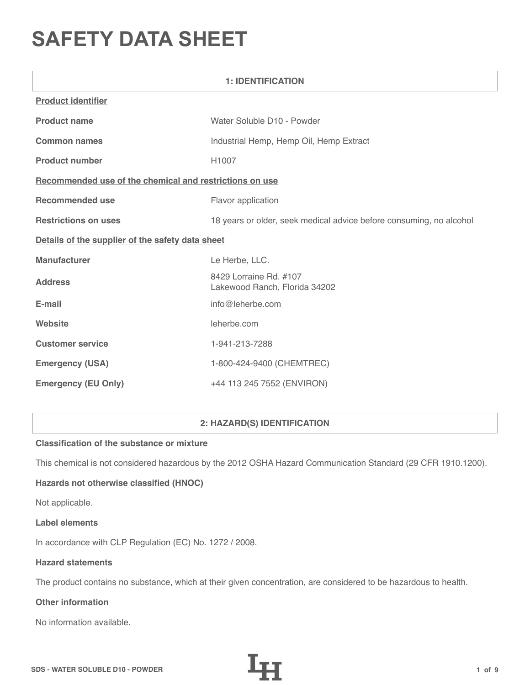# **SAFETY DATA SHEET**

| <b>1: IDENTIFICATION</b>                                |                                                                     |  |
|---------------------------------------------------------|---------------------------------------------------------------------|--|
| <b>Product identifier</b>                               |                                                                     |  |
| <b>Product name</b>                                     | Water Soluble D10 - Powder                                          |  |
| <b>Common names</b>                                     | Industrial Hemp, Hemp Oil, Hemp Extract                             |  |
| <b>Product number</b>                                   | H1007                                                               |  |
| Recommended use of the chemical and restrictions on use |                                                                     |  |
| <b>Recommended use</b>                                  | Flavor application                                                  |  |
| <b>Restrictions on uses</b>                             | 18 years or older, seek medical advice before consuming, no alcohol |  |
| Details of the supplier of the safety data sheet        |                                                                     |  |
| <b>Manufacturer</b>                                     | Le Herbe, LLC.                                                      |  |
| <b>Address</b>                                          | 8429 Lorraine Rd. #107<br>Lakewood Ranch, Florida 34202             |  |
| E-mail                                                  | info@leherbe.com                                                    |  |
| Website                                                 | leherbe.com                                                         |  |
| <b>Customer service</b>                                 | 1-941-213-7288                                                      |  |
| <b>Emergency (USA)</b>                                  | 1-800-424-9400 (CHEMTREC)                                           |  |
| <b>Emergency (EU Only)</b>                              | +44 113 245 7552 (ENVIRON)                                          |  |

# **2: HAZARD(S) IDENTIFICATION**

# **Classification of the substance or mixture**

This chemical is not considered hazardous by the 2012 OSHA Hazard Communication Standard (29 CFR 1910.1200).

# **Hazards not otherwise classified (HNOC)**

Not applicable.

#### **Label elements**

In accordance with CLP Regulation (EC) No. 1272 / 2008.

## **Hazard statements**

The product contains no substance, which at their given concentration, are considered to be hazardous to health.

# **Other information**

No information available.

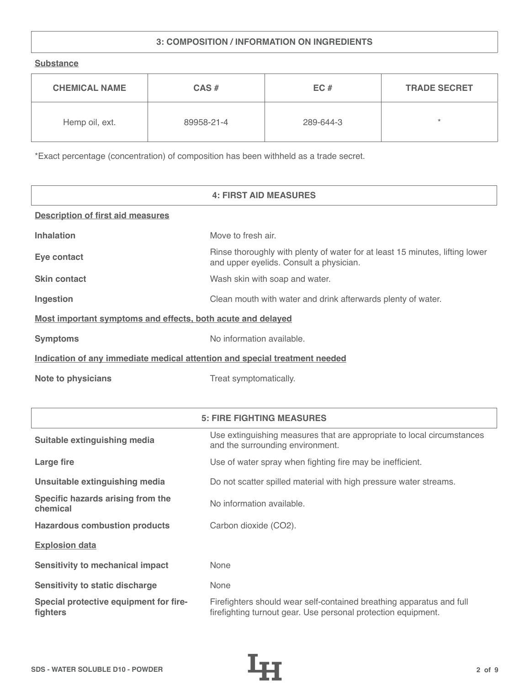# **3: COMPOSITION / INFORMATION ON INGREDIENTS**

**Substance**

| <b>CHEMICAL NAME</b> | $CAS \#$   | EC#       | <b>TRADE SECRET</b> |
|----------------------|------------|-----------|---------------------|
| Hemp oil, ext.       | 89958-21-4 | 289-644-3 | $\star$             |

\*Exact percentage (concentration) of composition has been withheld as a trade secret.

|                                                                            | <b>4: FIRST AID MEASURES</b>                                                                                            |
|----------------------------------------------------------------------------|-------------------------------------------------------------------------------------------------------------------------|
| <b>Description of first aid measures</b>                                   |                                                                                                                         |
| <b>Inhalation</b>                                                          | Move to fresh air.                                                                                                      |
| Eye contact                                                                | Rinse thoroughly with plenty of water for at least 15 minutes, lifting lower<br>and upper eyelids. Consult a physician. |
| <b>Skin contact</b>                                                        | Wash skin with soap and water.                                                                                          |
| Ingestion                                                                  | Clean mouth with water and drink afterwards plenty of water.                                                            |
| Most important symptoms and effects, both acute and delayed                |                                                                                                                         |
| <b>Symptoms</b>                                                            | No information available.                                                                                               |
| Indication of any immediate medical attention and special treatment needed |                                                                                                                         |
| <b>Note to physicians</b>                                                  | Treat symptomatically.                                                                                                  |

|                                                    | <b>5: FIRE FIGHTING MEASURES</b>                                                                                                      |
|----------------------------------------------------|---------------------------------------------------------------------------------------------------------------------------------------|
| Suitable extinguishing media                       | Use extinguishing measures that are appropriate to local circumstances<br>and the surrounding environment.                            |
| Large fire                                         | Use of water spray when fighting fire may be inefficient.                                                                             |
| Unsuitable extinguishing media                     | Do not scatter spilled material with high pressure water streams.                                                                     |
| Specific hazards arising from the<br>chemical      | No information available.                                                                                                             |
| <b>Hazardous combustion products</b>               | Carbon dioxide (CO2).                                                                                                                 |
| <b>Explosion data</b>                              |                                                                                                                                       |
| <b>Sensitivity to mechanical impact</b>            | None                                                                                                                                  |
| <b>Sensitivity to static discharge</b>             | None                                                                                                                                  |
| Special protective equipment for fire-<br>fighters | Firefighters should wear self-contained breathing apparatus and full<br>firefighting turnout gear. Use personal protection equipment. |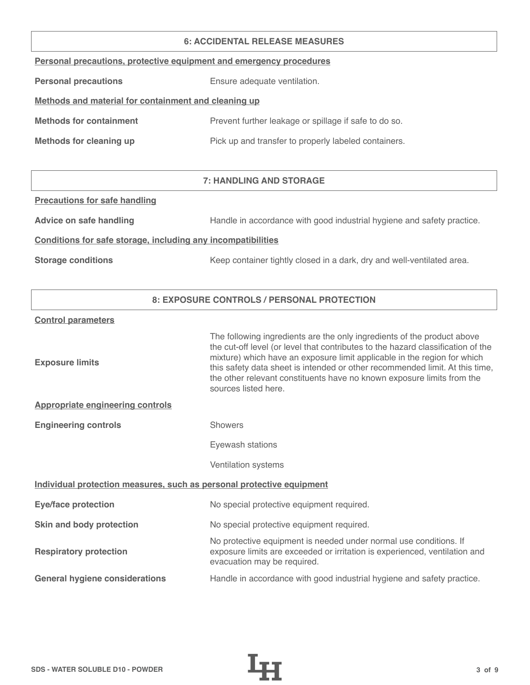#### **6: ACCIDENTAL RELEASE MEASURES**

| Personal precautions, protective equipment and emergency procedures |  |  |  |
|---------------------------------------------------------------------|--|--|--|
|                                                                     |  |  |  |

**Personal precautions** Ensure adequate ventilation.

# **Methods and material for containment and cleaning up**

| <b>Methods for containment</b> | Prevent further leakage or spillage if safe to do so. |
|--------------------------------|-------------------------------------------------------|
|                                |                                                       |

**Methods for cleaning up Pick up and transfer to properly labeled containers.** 

# **7: HANDLING AND STORAGE**

## **Precautions for safe handling**

Advice on safe handling **Handle in accordance with good industrial hygiene and safety practice.** 

## **Conditions for safe storage, including any incompatibilities**

**Storage conditions** Keep container tightly closed in a dark, dry and well-ventilated area.

## **8: EXPOSURE CONTROLS / PERSONAL PROTECTION**

#### **Control parameters**

| <b>Exposure limits</b>                                                | The following ingredients are the only ingredients of the product above<br>the cut-off level (or level that contributes to the hazard classification of the<br>mixture) which have an exposure limit applicable in the region for which<br>this safety data sheet is intended or other recommended limit. At this time,<br>the other relevant constituents have no known exposure limits from the<br>sources listed here. |
|-----------------------------------------------------------------------|---------------------------------------------------------------------------------------------------------------------------------------------------------------------------------------------------------------------------------------------------------------------------------------------------------------------------------------------------------------------------------------------------------------------------|
| <b>Appropriate engineering controls</b>                               |                                                                                                                                                                                                                                                                                                                                                                                                                           |
| <b>Engineering controls</b>                                           | <b>Showers</b>                                                                                                                                                                                                                                                                                                                                                                                                            |
|                                                                       | Eyewash stations                                                                                                                                                                                                                                                                                                                                                                                                          |
|                                                                       | Ventilation systems                                                                                                                                                                                                                                                                                                                                                                                                       |
| Individual protection measures, such as personal protective equipment |                                                                                                                                                                                                                                                                                                                                                                                                                           |
| <b>Eye/face protection</b>                                            | No special protective equipment required.                                                                                                                                                                                                                                                                                                                                                                                 |
| Skin and body protection                                              | No special protective equipment required.                                                                                                                                                                                                                                                                                                                                                                                 |
| <b>Respiratory protection</b>                                         | No protective equipment is needed under normal use conditions. If<br>exposure limits are exceeded or irritation is experienced, ventilation and<br>evacuation may be required.                                                                                                                                                                                                                                            |
| <b>General hygiene considerations</b>                                 | Handle in accordance with good industrial hygiene and safety practice.                                                                                                                                                                                                                                                                                                                                                    |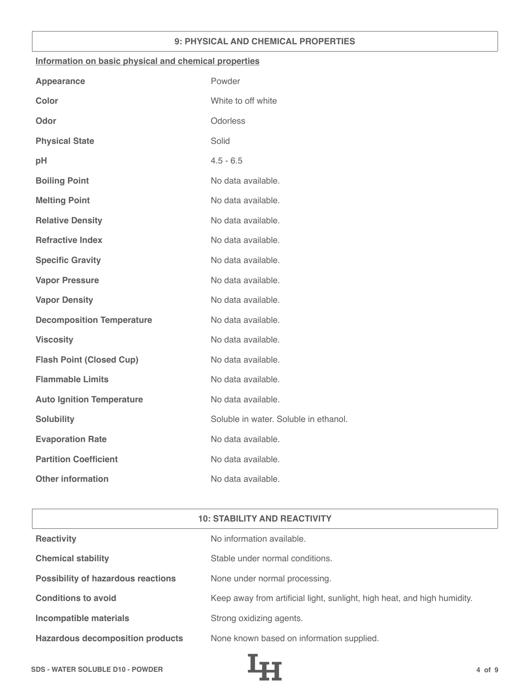## **9: PHYSICAL AND CHEMICAL PROPERTIES**

## **Information on basic physical and chemical properties**

| <b>Appearance</b>                | Powder                                |
|----------------------------------|---------------------------------------|
| <b>Color</b>                     | White to off white                    |
| Odor                             | Odorless                              |
| <b>Physical State</b>            | Solid                                 |
| pH                               | $4.5 - 6.5$                           |
| <b>Boiling Point</b>             | No data available.                    |
| <b>Melting Point</b>             | No data available.                    |
| <b>Relative Density</b>          | No data available.                    |
| <b>Refractive Index</b>          | No data available.                    |
| <b>Specific Gravity</b>          | No data available.                    |
| <b>Vapor Pressure</b>            | No data available.                    |
| <b>Vapor Density</b>             | No data available.                    |
| <b>Decomposition Temperature</b> | No data available.                    |
| <b>Viscosity</b>                 | No data available.                    |
| <b>Flash Point (Closed Cup)</b>  | No data available.                    |
| <b>Flammable Limits</b>          | No data available.                    |
| <b>Auto Ignition Temperature</b> | No data available.                    |
| <b>Solubility</b>                | Soluble in water. Soluble in ethanol. |
| <b>Evaporation Rate</b>          | No data available.                    |
| <b>Partition Coefficient</b>     | No data available.                    |
| <b>Other information</b>         | No data available.                    |

| <b>10: STABILITY AND REACTIVITY</b>       |                                                                          |  |
|-------------------------------------------|--------------------------------------------------------------------------|--|
| <b>Reactivity</b>                         | No information available.                                                |  |
| <b>Chemical stability</b>                 | Stable under normal conditions.                                          |  |
| <b>Possibility of hazardous reactions</b> | None under normal processing.                                            |  |
| <b>Conditions to avoid</b>                | Keep away from artificial light, sunlight, high heat, and high humidity. |  |
| <b>Incompatible materials</b>             | Strong oxidizing agents.                                                 |  |
| <b>Hazardous decomposition products</b>   | None known based on information supplied.                                |  |

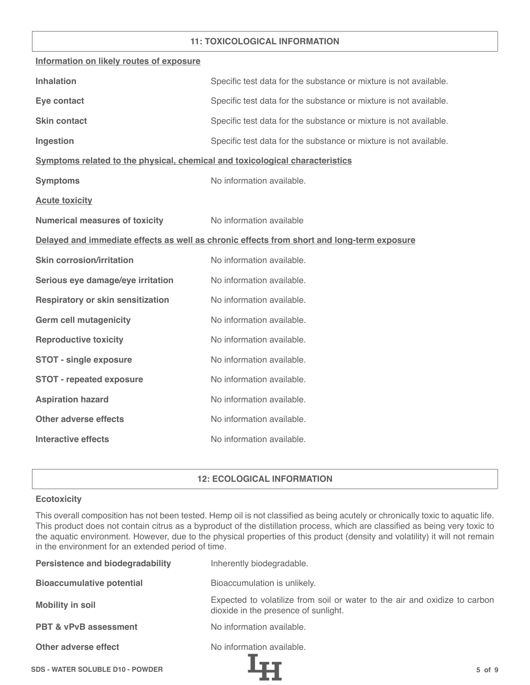## **11: TOXICOLOGICAL INFORMATION**

| Information on likely routes of exposure                                                   |                                                                   |  |
|--------------------------------------------------------------------------------------------|-------------------------------------------------------------------|--|
| <b>Inhalation</b>                                                                          | Specific test data for the substance or mixture is not available. |  |
| Eye contact                                                                                | Specific test data for the substance or mixture is not available. |  |
| <b>Skin contact</b>                                                                        | Specific test data for the substance or mixture is not available. |  |
| Ingestion                                                                                  | Specific test data for the substance or mixture is not available. |  |
| Symptoms related to the physical, chemical and toxicological characteristics               |                                                                   |  |
| <b>Symptoms</b>                                                                            | No information available.                                         |  |
| <b>Acute toxicity</b>                                                                      |                                                                   |  |
| <b>Numerical measures of toxicity</b>                                                      | No information available                                          |  |
| Delayed and immediate effects as well as chronic effects from short and long-term exposure |                                                                   |  |
| <b>Skin corrosion/irritation</b>                                                           | No information available.                                         |  |
| Serious eye damage/eye irritation                                                          | No information available.                                         |  |
| <b>Respiratory or skin sensitization</b>                                                   | No information available.                                         |  |
| <b>Germ cell mutagenicity</b>                                                              | No information available.                                         |  |
| <b>Reproductive toxicity</b>                                                               | No information available.                                         |  |
| <b>STOT - single exposure</b>                                                              | No information available.                                         |  |
| <b>STOT - repeated exposure</b>                                                            | No information available.                                         |  |
| <b>Aspiration hazard</b>                                                                   | No information available.                                         |  |
| <b>Other adverse effects</b>                                                               | No information available.                                         |  |
| <b>Interactive effects</b>                                                                 | No information available.                                         |  |

## **12: ECOLOGICAL INFORMATION**

## **Ecotoxicity**

This overall composition has not been tested. Hemp oil is not classified as being acutely or chronically toxic to aquatic life. This product does not contain citrus as a byproduct of the distillation process, which are classified as being very toxic to the aquatic environment. However, due to the physical properties of this product (density and volatility) it will not remain in the environment for an extended period of time.

| <b>Persistence and biodegradability</b> | Inherently biodegradable.                                                                                          |
|-----------------------------------------|--------------------------------------------------------------------------------------------------------------------|
| <b>Bioaccumulative potential</b>        | Bioaccumulation is unlikely.                                                                                       |
| <b>Mobility in soil</b>                 | Expected to volatilize from soil or water to the air and oxidize to carbon<br>dioxide in the presence of sunlight. |
| <b>PBT &amp; vPvB assessment</b>        | No information available.                                                                                          |
| Other adverse effect                    | No information available.                                                                                          |
| <b>SDS - WATER SOLUBLE D10 - POWDER</b> | $5$ of $9$                                                                                                         |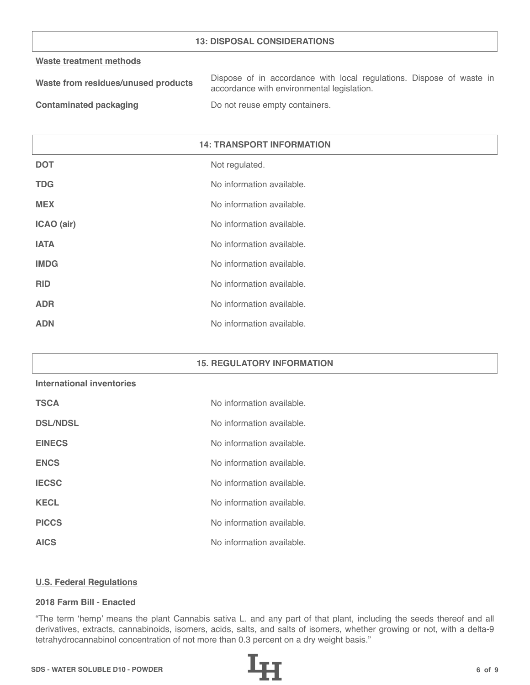## **13: DISPOSAL CONSIDERATIONS**

#### **Waste treatment methods**

| Waste from residues/unused products | Dispose of in accordance with local regulations. Dispose of waste in |
|-------------------------------------|----------------------------------------------------------------------|
|                                     | accordance with environmental legislation.                           |
| .                                   |                                                                      |

**Contaminated packaging The Contaminated packaging Containers.** 

| <b>14: TRANSPORT INFORMATION</b> |                           |
|----------------------------------|---------------------------|
| <b>DOT</b>                       | Not regulated.            |
| <b>TDG</b>                       | No information available. |
| <b>MEX</b>                       | No information available. |
| ICAO (air)                       | No information available. |
| <b>IATA</b>                      | No information available. |
| <b>IMDG</b>                      | No information available. |
| <b>RID</b>                       | No information available. |
| <b>ADR</b>                       | No information available. |
| <b>ADN</b>                       | No information available. |

## **15. REGULATORY INFORMATION**

# **International inventories**

| <b>TSCA</b>     | No information available. |
|-----------------|---------------------------|
| <b>DSL/NDSL</b> | No information available. |
| <b>EINECS</b>   | No information available. |
| <b>ENCS</b>     | No information available. |
| <b>IECSC</b>    | No information available. |
| <b>KECL</b>     | No information available. |
| <b>PICCS</b>    | No information available. |
| <b>AICS</b>     | No information available. |

#### **U.S. Federal Regulations**

#### **2018 Farm Bill - Enacted**

"The term 'hemp' means the plant Cannabis sativa L. and any part of that plant, including the seeds thereof and all derivatives, extracts, cannabinoids, isomers, acids, salts, and salts of isomers, whether growing or not, with a delta-9 tetrahydrocannabinol concentration of not more than 0.3 percent on a dry weight basis."

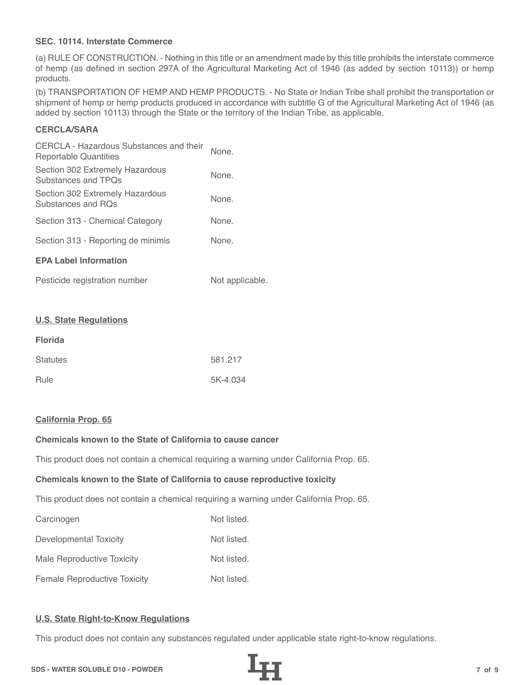## **SEC. 10114. Interstate Commerce**

(a) RULE OF CONSTRUCTION. - Nothing in this title or an amendment made by this title prohibits the interstate commerce of hemp (as defined in section 297A of the Agricultural Marketing Act of 1946 (as added by section 10113)) or hemp products.

(b) TRANSPORTATION OF HEMP AND HEMP PRODUCTS. - No State or Indian Tribe shall prohibit the transportation or shipment of hemp or hemp products produced in accordance with subtitle G of the Agricultural Marketing Act of 1946 (as added by section 10113) through the State or the territory of the Indian Tribe, as applicable.

# **CERCLA/SARA**

| CERCLA - Hazardous Substances and their<br>Reportable Quantities | None. |
|------------------------------------------------------------------|-------|
| Section 302 Extremely Hazardous<br>Substances and TPOs           | None. |
| Section 302 Extremely Hazardous<br>Substances and ROs            | None. |
| Section 313 - Chemical Category                                  | None. |
| Section 313 - Reporting de minimis                               | None. |
| <b>EPA Label Information</b>                                     |       |
|                                                                  |       |

| Pesticide registration number | Not applicable. |
|-------------------------------|-----------------|
|-------------------------------|-----------------|

#### **U.S. State Regulations**

| <b>Florida</b>  |          |
|-----------------|----------|
| <b>Statutes</b> | 581.217  |
| Rule            | 5K-4.034 |

#### **California Prop. 65**

# **Chemicals known to the State of California to cause cancer**

This product does not contain a chemical requiring a warning under California Prop. 65.

#### **Chemicals known to the State of California to cause reproductive toxicity**

This product does not contain a chemical requiring a warning under California Prop. 65.

| Carcinogen                          | Not listed. |
|-------------------------------------|-------------|
| Developmental Toxicity              | Not listed. |
| Male Reproductive Toxicity          | Not listed. |
| <b>Female Reproductive Toxicity</b> | Not listed. |

#### **U.S. State Right-to-Know Regulations**

This product does not contain any substances regulated under applicable state right-to-know regulations.

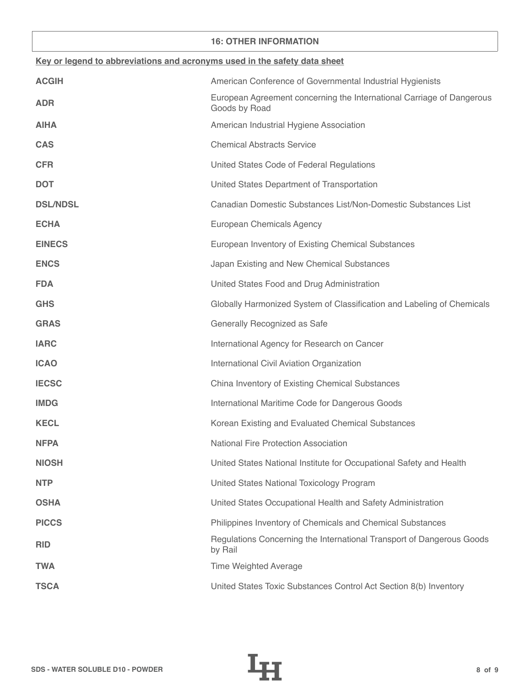## **16: OTHER INFORMATION**

| Key or legend to abbreviations and acronyms used in the safety data sheet |                                                                                        |  |
|---------------------------------------------------------------------------|----------------------------------------------------------------------------------------|--|
| <b>ACGIH</b>                                                              | American Conference of Governmental Industrial Hygienists                              |  |
| <b>ADR</b>                                                                | European Agreement concerning the International Carriage of Dangerous<br>Goods by Road |  |
| <b>AIHA</b>                                                               | American Industrial Hygiene Association                                                |  |
| <b>CAS</b>                                                                | <b>Chemical Abstracts Service</b>                                                      |  |
| <b>CFR</b>                                                                | United States Code of Federal Regulations                                              |  |
| <b>DOT</b>                                                                | United States Department of Transportation                                             |  |
| <b>DSL/NDSL</b>                                                           | Canadian Domestic Substances List/Non-Domestic Substances List                         |  |
| <b>ECHA</b>                                                               | European Chemicals Agency                                                              |  |
| <b>EINECS</b>                                                             | European Inventory of Existing Chemical Substances                                     |  |
| <b>ENCS</b>                                                               | Japan Existing and New Chemical Substances                                             |  |
| <b>FDA</b>                                                                | United States Food and Drug Administration                                             |  |
| <b>GHS</b>                                                                | Globally Harmonized System of Classification and Labeling of Chemicals                 |  |
| <b>GRAS</b>                                                               | Generally Recognized as Safe                                                           |  |
| <b>IARC</b>                                                               | International Agency for Research on Cancer                                            |  |
| <b>ICAO</b>                                                               | International Civil Aviation Organization                                              |  |
| <b>IECSC</b>                                                              | China Inventory of Existing Chemical Substances                                        |  |
| <b>IMDG</b>                                                               | International Maritime Code for Dangerous Goods                                        |  |
| <b>KECL</b>                                                               | Korean Existing and Evaluated Chemical Substances                                      |  |
| <b>NFPA</b>                                                               | National Fire Protection Association                                                   |  |
| <b>NIOSH</b>                                                              | United States National Institute for Occupational Safety and Health                    |  |
| <b>NTP</b>                                                                | United States National Toxicology Program                                              |  |
| <b>OSHA</b>                                                               | United States Occupational Health and Safety Administration                            |  |
| <b>PICCS</b>                                                              | Philippines Inventory of Chemicals and Chemical Substances                             |  |
| <b>RID</b>                                                                | Regulations Concerning the International Transport of Dangerous Goods<br>by Rail       |  |
| <b>TWA</b>                                                                | <b>Time Weighted Average</b>                                                           |  |
| <b>TSCA</b>                                                               | United States Toxic Substances Control Act Section 8(b) Inventory                      |  |